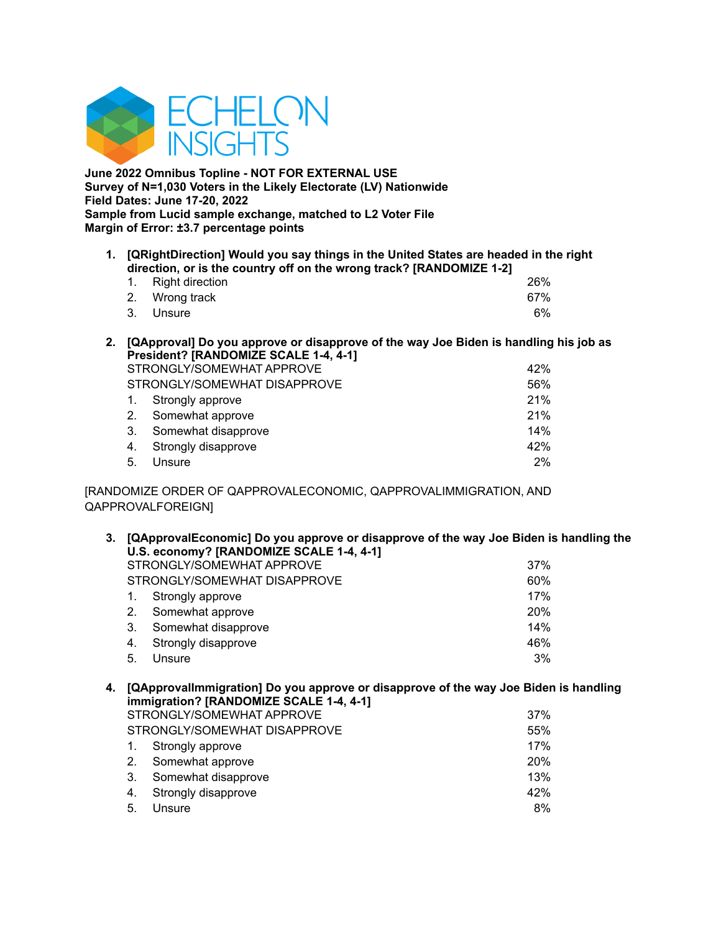

**June 2022 Omnibus Topline - NOT FOR EXTERNAL USE Survey of N=1,030 Voters in the Likely Electorate (LV) Nationwide Field Dates: June 17-20, 2022 Sample from Lucid sample exchange, matched to L2 Voter File Margin of Error: ±3.7 percentage points**

**1. [QRightDirection] Would you say things in the United States are headed in the right direction, or is the country off on the wrong track? [RANDOMIZE 1-2]**

| 1. Right direction |  | 26% |
|--------------------|--|-----|
| 2. Wrong track     |  | 67% |
| 3. Unsure          |  | 6%  |

**2. [QApproval] Do you approve or disapprove of the way Joe Biden is handling his job as President? [RANDOMIZE SCALE 1-4, 4-1]**

| STRONGLY/SOMEWHAT APPROVE | 42%                          |       |
|---------------------------|------------------------------|-------|
|                           | STRONGLY/SOMEWHAT DISAPPROVE | 56%   |
|                           | 1. Strongly approve          | 21%   |
|                           | 2. Somewhat approve          | 21%   |
| 3.                        | Somewhat disapprove          | 14%   |
|                           | 4. Strongly disapprove       | 42%   |
| 5 <sub>1</sub>            | Unsure                       | $2\%$ |

[RANDOMIZE ORDER OF QAPPROVALECONOMIC, QAPPROVALIMMIGRATION, AND QAPPROVALFOREIGN]

| 3. | [QApprovalEconomic] Do you approve or disapprove of the way Joe Biden is handling the<br>U.S. economy? [RANDOMIZE SCALE 1-4, 4-1] |                              |            |  |  |  |
|----|-----------------------------------------------------------------------------------------------------------------------------------|------------------------------|------------|--|--|--|
|    |                                                                                                                                   | STRONGLY/SOMEWHAT APPROVE    | 37%        |  |  |  |
|    |                                                                                                                                   | STRONGLY/SOMEWHAT DISAPPROVE | 60%        |  |  |  |
|    | 1.                                                                                                                                | Strongly approve             | 17%        |  |  |  |
|    | 2.                                                                                                                                | Somewhat approve             | <b>20%</b> |  |  |  |
|    | 3.                                                                                                                                | Somewhat disapprove          | 14%        |  |  |  |
|    | 4.                                                                                                                                | Strongly disapprove          | 46%        |  |  |  |
|    | 5.                                                                                                                                | Unsure                       | 3%         |  |  |  |
|    |                                                                                                                                   |                              |            |  |  |  |

## **4. [QApprovalImmigration] Do you approve or disapprove of the way Joe Biden is handling immigration? [RANDOMIZE SCALE 1-4, 4-1]** STRONGLY/SOMEWHAT APPROVE **1999** 37% STRONGLY/SOMEWHAT DISAPPROVE **FOUND 1999** 55% 1. Strongly approve 17% 2. Somewhat approve 20% 3. Somewhat disapprove 13% 4. Strongly disapprove 42% 5. Unsure 8%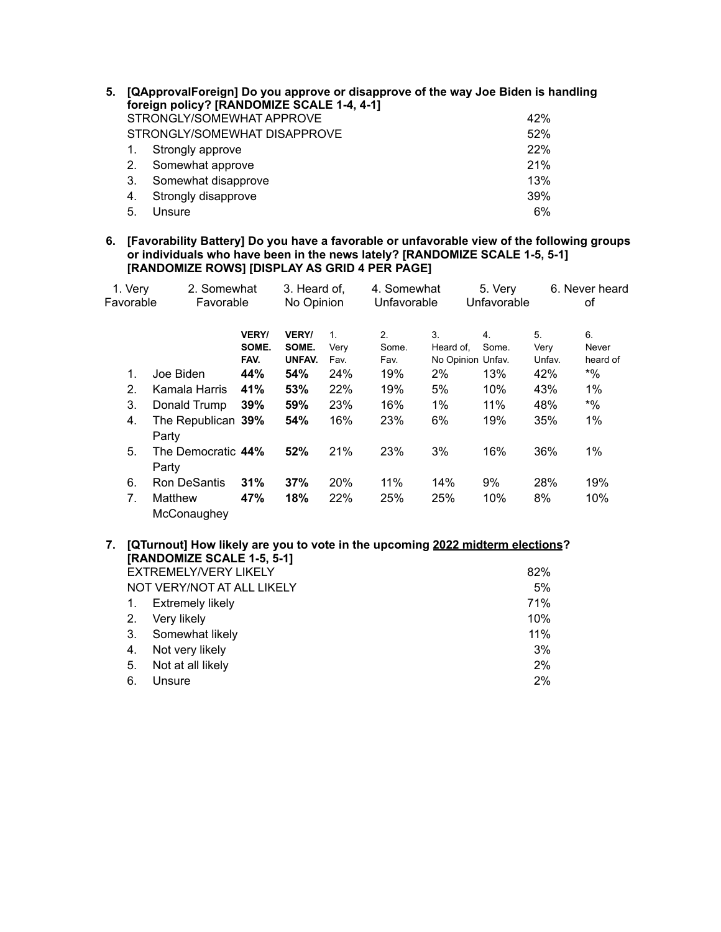| 5. |    | [QApprovalForeign] Do you approve or disapprove of the way Joe Biden is handling<br>foreign policy? [RANDOMIZE SCALE 1-4, 4-1] |     |
|----|----|--------------------------------------------------------------------------------------------------------------------------------|-----|
|    |    | STRONGLY/SOMEWHAT APPROVE                                                                                                      | 42% |
|    |    | STRONGLY/SOMEWHAT DISAPPROVE                                                                                                   | 52% |
|    |    | Strongly approve                                                                                                               | 22% |
|    | 2. | Somewhat approve                                                                                                               | 21% |
|    | 3. | Somewhat disapprove                                                                                                            | 13% |
|    | 4. | Strongly disapprove                                                                                                            | 39% |
|    | 5. | Unsure                                                                                                                         | 6%  |

**6. [Favorability Battery] Do you have a favorable or unfavorable view of the following groups or individuals who have been in the news lately? [RANDOMIZE SCALE 1-5, 5-1] [RANDOMIZE ROWS] [DISPLAY AS GRID 4 PER PAGE]**

| 1. Very        | 2. Somewhat                 |                               | 3. Heard of,                    |                                | 4. Somewhat         |                                      | 5. Very     |                      | 6. Never heard          |
|----------------|-----------------------------|-------------------------------|---------------------------------|--------------------------------|---------------------|--------------------------------------|-------------|----------------------|-------------------------|
| Favorable      | Favorable                   |                               | No Opinion                      |                                | Unfavorable         |                                      | Unfavorable |                      | οf                      |
|                |                             | <b>VERY/</b><br>SOME.<br>FAV. | <b>VERY/</b><br>SOME.<br>UNFAV. | $\mathbf{1}$ .<br>Verv<br>Fav. | 2.<br>Some.<br>Fav. | 3.<br>Heard of.<br>No Opinion Unfav. | 4.<br>Some. | 5.<br>Verv<br>Unfav. | 6.<br>Never<br>heard of |
| 1.             | Joe Biden                   | 44%                           | 54%                             | 24%                            | 19%                 | 2%                                   | 13%         | 42%                  | $*9/6$                  |
| 2.             | Kamala Harris               | 41%                           | 53%                             | 22%                            | 19%                 | 5%                                   | 10%         | 43%                  | $1\%$                   |
| 3.             | Donald Trump                | 39%                           | 59%                             | 23%                            | 16%                 | $1\%$                                | 11%         | 48%                  | $*9/0$                  |
| 4.             | The Republican 39%<br>Party |                               | 54%                             | 16%                            | 23%                 | 6%                                   | 19%         | 35%                  | 1%                      |
| 5.             | The Democratic 44%<br>Party |                               | 52%                             | 21%                            | 23%                 | 3%                                   | 16%         | 36%                  | 1%                      |
| 6.             | <b>Ron DeSantis</b>         | 31%                           | 37%                             | 20%                            | 11%                 | 14%                                  | 9%          | 28%                  | 19%                     |
| 7 <sub>1</sub> | Matthew<br>McConaughey      | 47%                           | 18%                             | 22%                            | 25%                 | 25%                                  | 10%         | 8%                   | 10%                     |

## **7. [QTurnout] How likely are you to vote in the upcoming 2022 midterm elections? [RANDOMIZE SCALE 1-5, 5-1]** EXTREMELY/VERY LIKELY **EXTREMELY** 82% NOT VERY/NOT AT ALL LIKELY 6% 1. Extremely likely **EXECUTE:** The Second 1. Extremely likely 2. Very likely 10% 3. Somewhat likely 11% 4. Not very likely 3% 5. Not at all likely 2% 6. Unsure 2%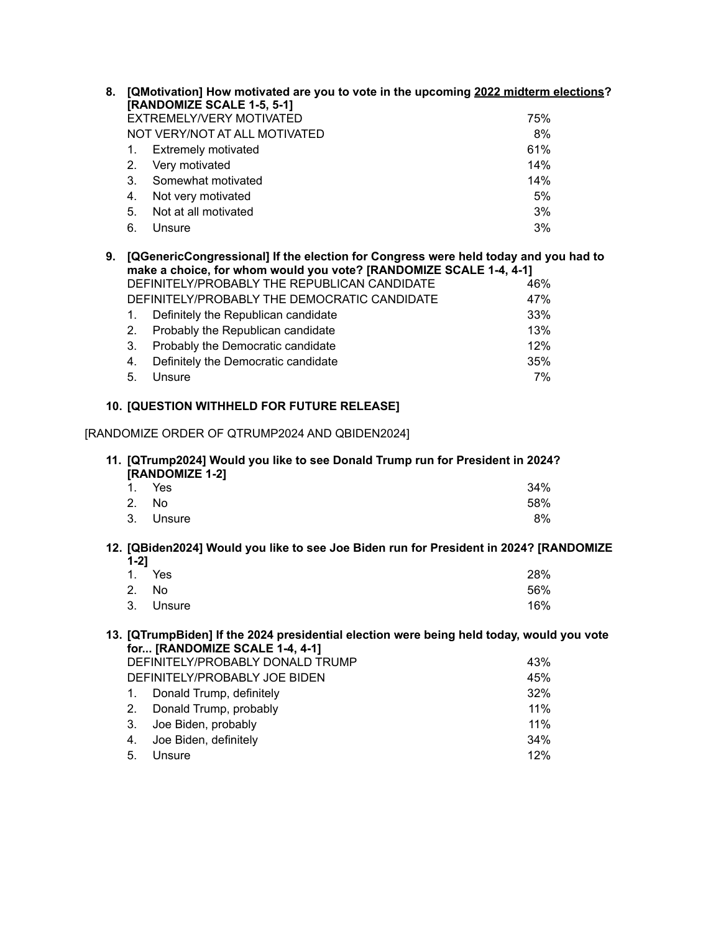| 8. |    | [QMotivation] How motivated are you to vote in the upcoming 2022 midterm elections?<br>[RANDOMIZE SCALE 1-5, 5-1] |     |
|----|----|-------------------------------------------------------------------------------------------------------------------|-----|
|    |    | EXTREMELY/VERY MOTIVATED                                                                                          | 75% |
|    |    | NOT VERY/NOT AT ALL MOTIVATED                                                                                     | 8%  |
|    |    | <b>Extremely motivated</b>                                                                                        | 61% |
|    | 2. | Very motivated                                                                                                    | 14% |
|    | 3. | Somewhat motivated                                                                                                | 14% |
|    | 4. | Not very motivated                                                                                                | 5%  |
|    | 5. | Not at all motivated                                                                                              | 3%  |
|    | 6. | Unsure                                                                                                            | 3%  |

| 9. [QGenericCongressional] If the election for Congress were held today and you had to<br>make a choice, for whom would you vote? [RANDOMIZE SCALE 1-4, 4-1] |                                              |     |  |  |  |  |
|--------------------------------------------------------------------------------------------------------------------------------------------------------------|----------------------------------------------|-----|--|--|--|--|
|                                                                                                                                                              | DEFINITELY/PROBABLY THE REPUBLICAN CANDIDATE | 46% |  |  |  |  |
|                                                                                                                                                              | DEFINITELY/PROBABLY THE DEMOCRATIC CANDIDATE | 47% |  |  |  |  |
| 1.                                                                                                                                                           | Definitely the Republican candidate          | 33% |  |  |  |  |
| 2 <sub>1</sub>                                                                                                                                               | Probably the Republican candidate            | 13% |  |  |  |  |
| 3.                                                                                                                                                           | Probably the Democratic candidate            | 12% |  |  |  |  |
| 4.                                                                                                                                                           | Definitely the Democratic candidate          | 35% |  |  |  |  |

5. Unsure 7%

## **10. [QUESTION WITHHELD FOR FUTURE RELEASE]**

## [RANDOMIZE ORDER OF QTRUMP2024 AND QBIDEN2024]

## **11. [QTrump2024] Would you like to see Donald Trump run for President in 2024? [RANDOMIZE 1-2]**

|       | 1. Yes    | 34% |
|-------|-----------|-----|
| 2. No |           | 58% |
|       | 3. Unsure | 8%  |

#### **12. [QBiden2024] Would you like to see Joe Biden run for President in 2024? [RANDOMIZE 1-2]**

| 1. Yes    | 28% |
|-----------|-----|
| 2. No     | 56% |
| 3. Unsure | 16% |

### **13. [QTrumpBiden] If the 2024 presidential election were being held today, would you vote for... [RANDOMIZE SCALE 1-4, 4-1]**

| DEFINITELY/PROBABLY DONALD TRUMP |                             |     |  |  |
|----------------------------------|-----------------------------|-----|--|--|
| DEFINITELY/PROBABLY JOE BIDEN    |                             |     |  |  |
|                                  | 1. Donald Trump, definitely | 32% |  |  |
|                                  | 2. Donald Trump, probably   | 11% |  |  |
|                                  | 3. Joe Biden, probably      | 11% |  |  |
|                                  | 4. Joe Biden, definitely    | 34% |  |  |
| 5.                               | Unsure                      | 12% |  |  |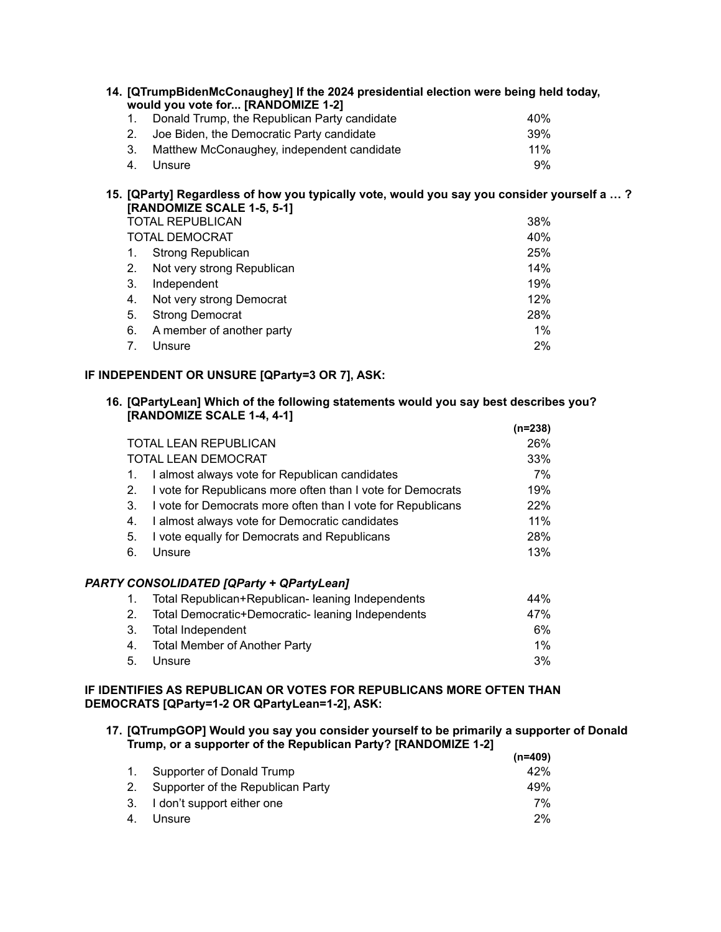|    | 14. [QTrumpBidenMcConaughey] If the 2024 presidential election were being held today,<br>would you vote for [RANDOMIZE 1-2] |                 |
|----|-----------------------------------------------------------------------------------------------------------------------------|-----------------|
|    | Donald Trump, the Republican Party candidate                                                                                | 40 <sub>%</sub> |
| 2. | Joe Biden, the Democratic Party candidate                                                                                   | 39%             |
| 3. | Matthew McConaughey, independent candidate                                                                                  | 11%             |
| 4. | Unsure                                                                                                                      | 9%              |

## **15. [QParty] Regardless of how you typically vote, would you say you consider yourself a … ? [RANDOMIZE SCALE 1-5, 5-1]**

| <b>TOTAL REPUBLICAN</b> |                            |       |  |  |
|-------------------------|----------------------------|-------|--|--|
|                         | <b>TOTAL DEMOCRAT</b>      | 40%   |  |  |
|                         | <b>Strong Republican</b>   | 25%   |  |  |
| 2.                      | Not very strong Republican | 14%   |  |  |
| 3.                      | Independent                | 19%   |  |  |
| 4.                      | Not very strong Democrat   | 12%   |  |  |
| 5.                      | <b>Strong Democrat</b>     | 28%   |  |  |
| 6.                      | A member of another party  | $1\%$ |  |  |
| 7.                      | Unsure                     | 2%    |  |  |

## **IF INDEPENDENT OR UNSURE [QParty=3 OR 7], ASK:**

#### **16. [QPartyLean] Which of the following statements would you say best describes you? [RANDOMIZE SCALE 1-4, 4-1] (n=238)**

|    |                                                             | (n=238) |
|----|-------------------------------------------------------------|---------|
|    | <b>TOTAL LEAN REPUBLICAN</b>                                | 26%     |
|    | <b>TOTAL LEAN DEMOCRAT</b>                                  | 33%     |
| 1. | I almost always vote for Republican candidates              | 7%      |
| 2. | I vote for Republicans more often than I vote for Democrats | 19%     |
| 3. | I vote for Democrats more often than I vote for Republicans | 22%     |
| 4. | I almost always vote for Democratic candidates              | 11%     |
| 5. | I vote equally for Democrats and Republicans                | 28%     |
| 6. | Unsure                                                      | 13%     |
|    | <b>PARTY CONSOLIDATED [QParty + QPartyLean]</b>             |         |
| 1. | Total Republican+Republican- leaning Independents           | 44%     |
| 2. | Total Democratic+Democratic- leaning Independents           | 47%     |
| 3. | Total Independent                                           | 6%      |
| 4. | <b>Total Member of Another Party</b>                        | $1\%$   |
| 5. | Unsure                                                      | 3%      |

## **IF IDENTIFIES AS REPUBLICAN OR VOTES FOR REPUBLICANS MORE OFTEN THAN DEMOCRATS [QParty=1-2 OR QPartyLean=1-2], ASK:**

#### **17. [QTrumpGOP] Would you say you consider yourself to be primarily a supporter of Donald Trump, or a supporter of the Republican Party? [RANDOMIZE 1-2] (n=409)**

|                                      | (n=409) |
|--------------------------------------|---------|
| 1. Supporter of Donald Trump         | 42%     |
| 2. Supporter of the Republican Party | 49%     |
| 3. I don't support either one        | 7%      |
| 4. Unsure                            | $2\%$   |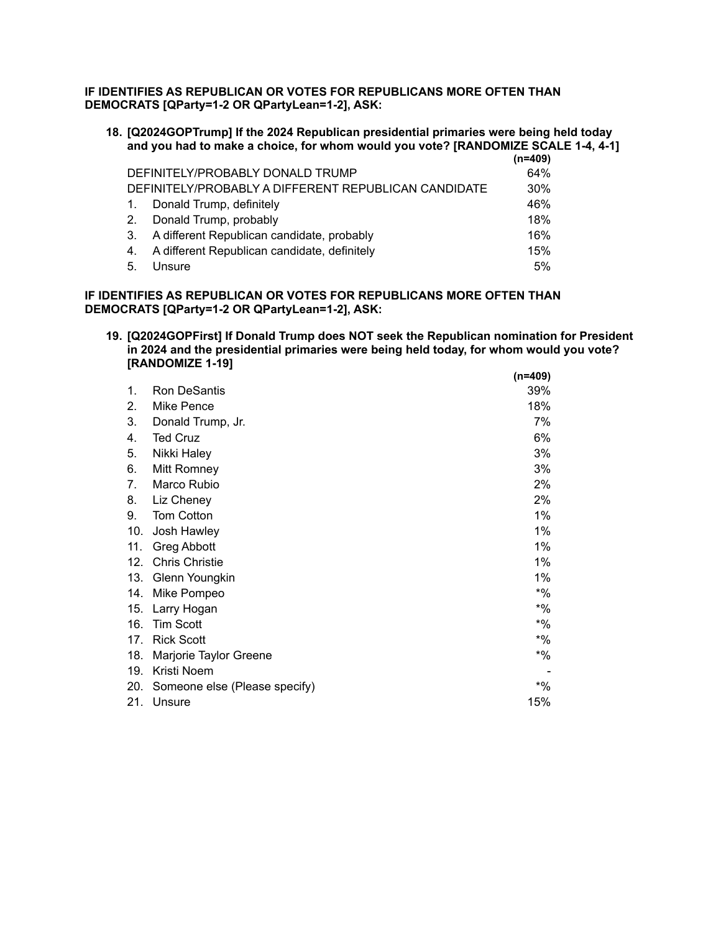## **IF IDENTIFIES AS REPUBLICAN OR VOTES FOR REPUBLICANS MORE OFTEN THAN DEMOCRATS [QParty=1-2 OR QPartyLean=1-2], ASK:**

| 18. [Q2024GOPTrump] If the 2024 Republican presidential primaries were being held today |  |
|-----------------------------------------------------------------------------------------|--|
| and you had to make a choice, for whom would you vote? [RANDOMIZE SCALE 1-4, 4-1]       |  |
|                                                                                         |  |

|                                  |                                                      | (n=409) |
|----------------------------------|------------------------------------------------------|---------|
| DEFINITELY/PROBABLY DONALD TRUMP |                                                      | 64%     |
|                                  | DEFINITELY/PROBABLY A DIFFERENT REPUBLICAN CANDIDATE | 30%     |
| $\mathbf{1}$ .                   | Donald Trump, definitely                             | 46%     |
| 2.                               | Donald Trump, probably                               | 18%     |
| -3.                              | A different Republican candidate, probably           | 16%     |
| 4.                               | A different Republican candidate, definitely         | 15%     |
| 5.                               | Unsure                                               | 5%      |

### **IF IDENTIFIES AS REPUBLICAN OR VOTES FOR REPUBLICANS MORE OFTEN THAN DEMOCRATS [QParty=1-2 OR QPartyLean=1-2], ASK:**

**19. [Q2024GOPFirst] If Donald Trump does NOT seek the Republican nomination for President in 2024 and the presidential primaries were being held today, for whom would you vote? [RANDOMIZE 1-19] (n=409)**

|     |                               | (11–403) |
|-----|-------------------------------|----------|
| 1.  | Ron DeSantis                  | 39%      |
| 2.  | Mike Pence                    | 18%      |
| 3.  | Donald Trump, Jr.             | 7%       |
| 4.  | <b>Ted Cruz</b>               | 6%       |
| 5.  | Nikki Haley                   | 3%       |
| 6.  | Mitt Romney                   | 3%       |
| 7.  | Marco Rubio                   | 2%       |
| 8.  | Liz Cheney                    | 2%       |
| 9.  | <b>Tom Cotton</b>             | 1%       |
| 10. | Josh Hawley                   | 1%       |
| 11. | <b>Greg Abbott</b>            | 1%       |
| 12. | <b>Chris Christie</b>         | 1%       |
| 13. | Glenn Youngkin                | 1%       |
| 14. | Mike Pompeo                   | $*$ %    |
| 15. | Larry Hogan                   | $*$ %    |
| 16. | <b>Tim Scott</b>              | $*9/6$   |
| 17. | <b>Rick Scott</b>             | $*9/6$   |
| 18. | Marjorie Taylor Greene        | $*9/6$   |
| 19. | Kristi Noem                   |          |
| 20. | Someone else (Please specify) | $*$ %    |
| 21. | Unsure                        | 15%      |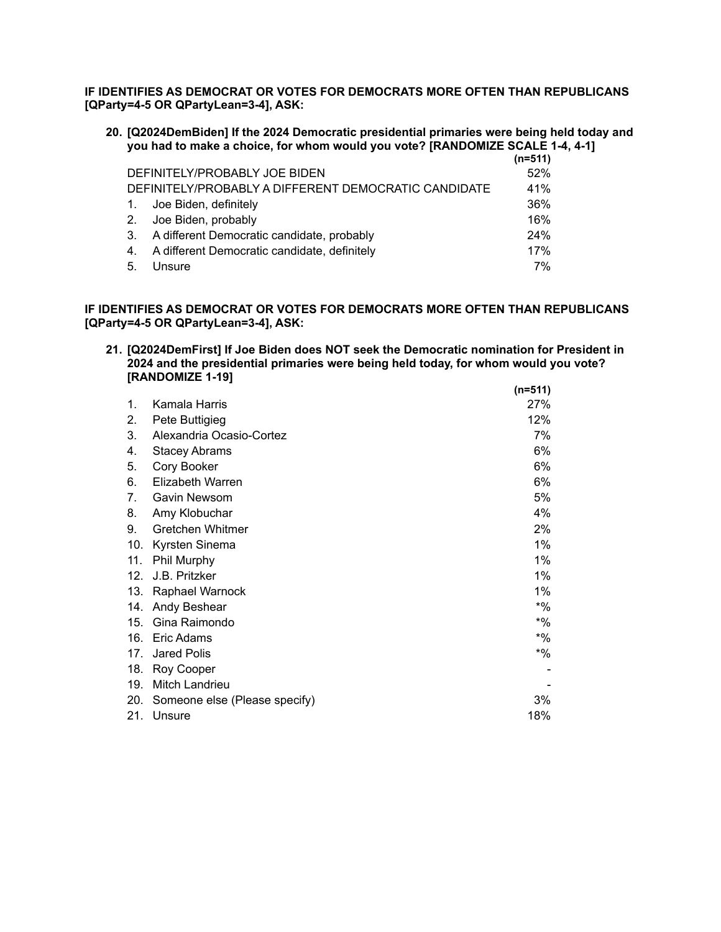**IF IDENTIFIES AS DEMOCRAT OR VOTES FOR DEMOCRATS MORE OFTEN THAN REPUBLICANS [QParty=4-5 OR QPartyLean=3-4], ASK:**

**20. [Q2024DemBiden] If the 2024 Democratic presidential primaries were being held today and you had to make a choice, for whom would you vote? [RANDOMIZE SCALE 1-4, 4-1]**

|                |                                                      | $(n=511)$ |
|----------------|------------------------------------------------------|-----------|
|                | DEFINITELY/PROBABLY JOE BIDEN                        | 52%       |
|                | DEFINITELY/PROBABLY A DIFFERENT DEMOCRATIC CANDIDATE | 41%       |
| $\mathbf{1}$ . | Joe Biden, definitely                                | 36%       |
| 2.             | Joe Biden, probably                                  | 16%       |
| 3.             | A different Democratic candidate, probably           | 24%       |
| 4.             | A different Democratic candidate, definitely         | 17%       |
| 5.             | Unsure                                               | 7%        |

**IF IDENTIFIES AS DEMOCRAT OR VOTES FOR DEMOCRATS MORE OFTEN THAN REPUBLICANS [QParty=4-5 OR QPartyLean=3-4], ASK:**

**21. [Q2024DemFirst] If Joe Biden does NOT seek the Democratic nomination for President in 2024 and the presidential primaries were being held today, for whom would you vote? [RANDOMIZE 1-19] (n=511)**

|     |                               | (n=511) |
|-----|-------------------------------|---------|
| 1.  | Kamala Harris                 | 27%     |
| 2.  | Pete Buttigieg                | 12%     |
| 3.  | Alexandria Ocasio-Cortez      | 7%      |
| 4.  | <b>Stacey Abrams</b>          | 6%      |
| 5.  | Cory Booker                   | 6%      |
| 6.  | Elizabeth Warren              | 6%      |
| 7.  | Gavin Newsom                  | 5%      |
| 8.  | Amy Klobuchar                 | 4%      |
| 9.  | Gretchen Whitmer              | 2%      |
| 10. | Kyrsten Sinema                | $1\%$   |
| 11. | Phil Murphy                   | $1\%$   |
| 12. | J.B. Pritzker                 | $1\%$   |
| 13. | Raphael Warnock               | $1\%$   |
| 14. | Andy Beshear                  | *%      |
| 15. | Gina Raimondo                 | *%      |
| 16. | Eric Adams                    | $*$ %   |
| 17. | Jared Polis                   | *%      |
| 18. | Roy Cooper                    |         |
| 19. | Mitch Landrieu                |         |
| 20. | Someone else (Please specify) | 3%      |
| 21. | Unsure                        | 18%     |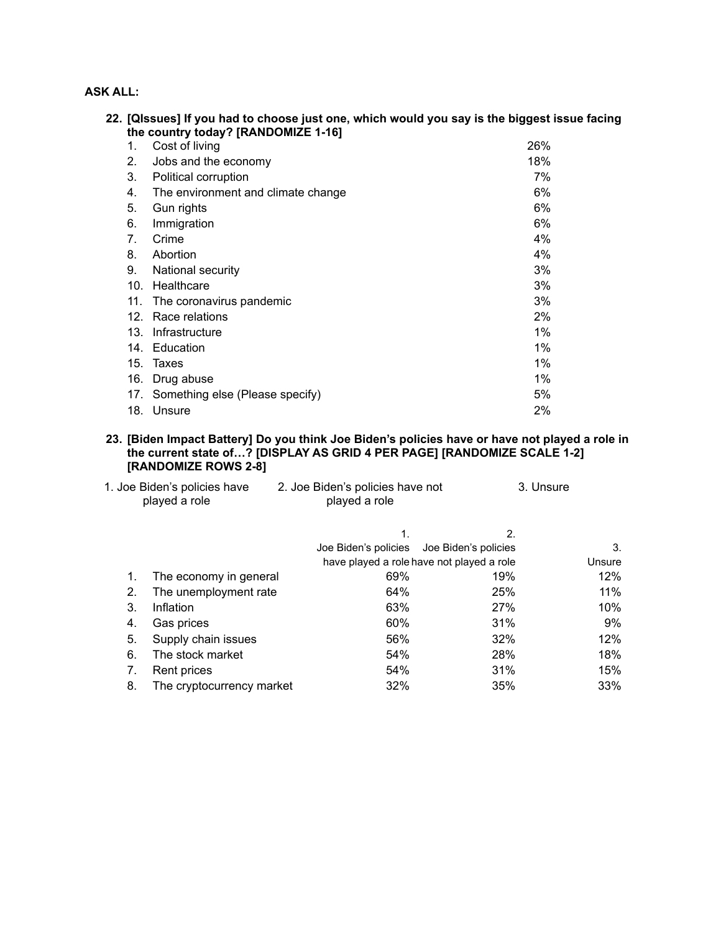## **ASK ALL:**

|     | 22. [QIssues] If you had to choose just one, which would you say is the biggest issue facing<br>the country today? [RANDOMIZE 1-16] |       |
|-----|-------------------------------------------------------------------------------------------------------------------------------------|-------|
| 1.  | Cost of living                                                                                                                      | 26%   |
| 2.  | Jobs and the economy                                                                                                                | 18%   |
| 3.  | Political corruption                                                                                                                | 7%    |
| 4.  | The environment and climate change                                                                                                  | 6%    |
| 5.  | Gun rights                                                                                                                          | 6%    |
| 6.  | Immigration                                                                                                                         | 6%    |
| 7.  | Crime                                                                                                                               | 4%    |
| 8.  | Abortion                                                                                                                            | 4%    |
| 9.  | National security                                                                                                                   | 3%    |
| 10. | Healthcare                                                                                                                          | 3%    |
| 11. | The coronavirus pandemic                                                                                                            | 3%    |
| 12. | Race relations                                                                                                                      | 2%    |
| 13. | Infrastructure                                                                                                                      | 1%    |
|     | 14. Education                                                                                                                       | $1\%$ |
| 15. | Taxes                                                                                                                               | 1%    |
| 16. | Drug abuse                                                                                                                          | 1%    |
| 17. | Something else (Please specify)                                                                                                     | 5%    |
|     | 18. Unsure                                                                                                                          | 2%    |

### **23. [Biden Impact Battery] Do you think Joe Biden's policies have or have not played a role in the current state of…? [DISPLAY AS GRID 4 PER PAGE] [RANDOMIZE SCALE 1-2] [RANDOMIZE ROWS 2-8]**

|    | 1. Joe Biden's policies have<br>played a role | 2. Joe Biden's policies have not<br>played a role |                                           | 3. Unsure |
|----|-----------------------------------------------|---------------------------------------------------|-------------------------------------------|-----------|
|    |                                               | 1.                                                | 2.                                        |           |
|    |                                               | Joe Biden's policies Joe Biden's policies         |                                           | 3.        |
|    |                                               |                                                   | have played a role have not played a role | Unsure    |
| 1. | The economy in general                        | 69%                                               | 19%                                       | 12%       |
| 2. | The unemployment rate                         | 64%                                               | 25%                                       | $11\%$    |
| 3. | Inflation                                     | 63%                                               | 27%                                       | 10%       |
| 4. | Gas prices                                    | 60%                                               | 31%                                       | 9%        |
| 5. | Supply chain issues                           | 56%                                               | 32%                                       | 12%       |
| 6. | The stock market                              | 54%                                               | 28%                                       | 18%       |
| 7. | Rent prices                                   | 54%                                               | 31%                                       | 15%       |
| 8. | The cryptocurrency market                     | 32%                                               | 35%                                       | 33%       |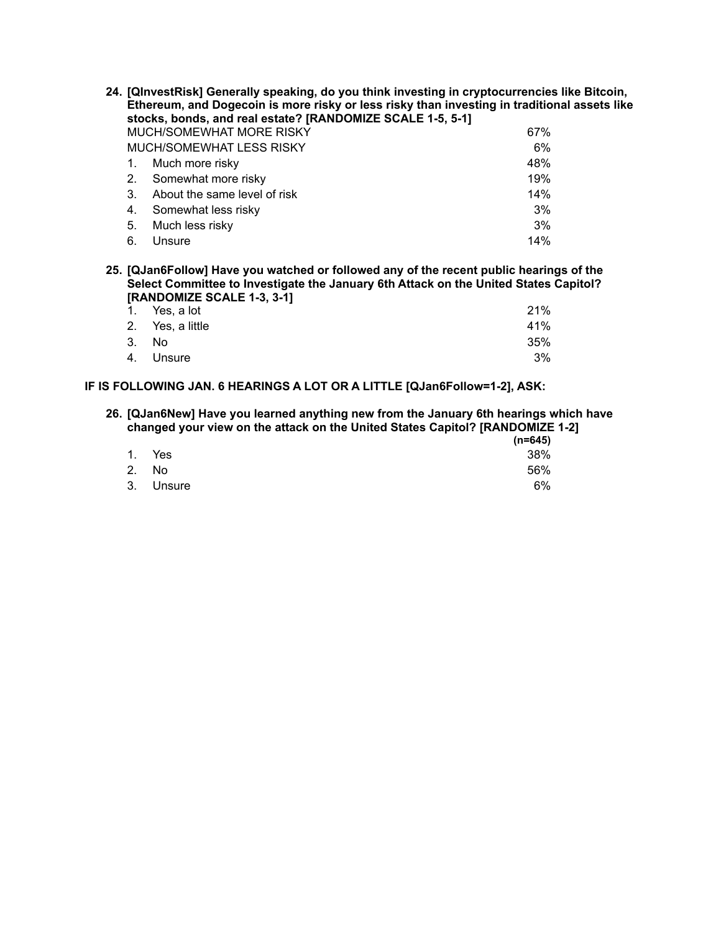|             | 24. [QInvestRisk] Generally speaking, do you think investing in cryptocurrencies like Bitcoin,<br>Ethereum, and Dogecoin is more risky or less risky than investing in traditional assets like<br>stocks, bonds, and real estate? [RANDOMIZE SCALE 1-5, 5-1] |     |  |
|-------------|--------------------------------------------------------------------------------------------------------------------------------------------------------------------------------------------------------------------------------------------------------------|-----|--|
|             | MUCH/SOMEWHAT MORE RISKY<br>67%                                                                                                                                                                                                                              |     |  |
|             | MUCH/SOMEWHAT LESS RISKY                                                                                                                                                                                                                                     | 6%  |  |
|             | Much more risky                                                                                                                                                                                                                                              | 48% |  |
| $2_{\cdot}$ | Somewhat more risky                                                                                                                                                                                                                                          | 19% |  |
| 3.          | About the same level of risk                                                                                                                                                                                                                                 | 14% |  |
| 4.          | Somewhat less risky                                                                                                                                                                                                                                          | 3%  |  |
| 5.          | Much less risky                                                                                                                                                                                                                                              | 3%  |  |
| 6.          | Unsure                                                                                                                                                                                                                                                       | 14% |  |

**25. [QJan6Follow] Have you watched or followed any of the recent public hearings of the Select Committee to Investigate the January 6th Attack on the United States Capitol? [RANDOMIZE SCALE 1-3, 3-1]**

| 1. Yes, a lot    | 21% |
|------------------|-----|
| 2. Yes, a little | 41% |
| 3. No            | 35% |
| 4. Unsure        | 3%  |

**IF IS FOLLOWING JAN. 6 HEARINGS A LOT OR A LITTLE [QJan6Follow=1-2], ASK:**

#### **26. [QJan6New] Have you learned anything new from the January 6th hearings which have changed your view on the attack on the United States Capitol? [RANDOMIZE 1-2]**

|           | _<br>$(n=645)$ |
|-----------|----------------|
| 1. Yes    | 38%            |
| 2. No     | 56%            |
| 3. Unsure | 6%             |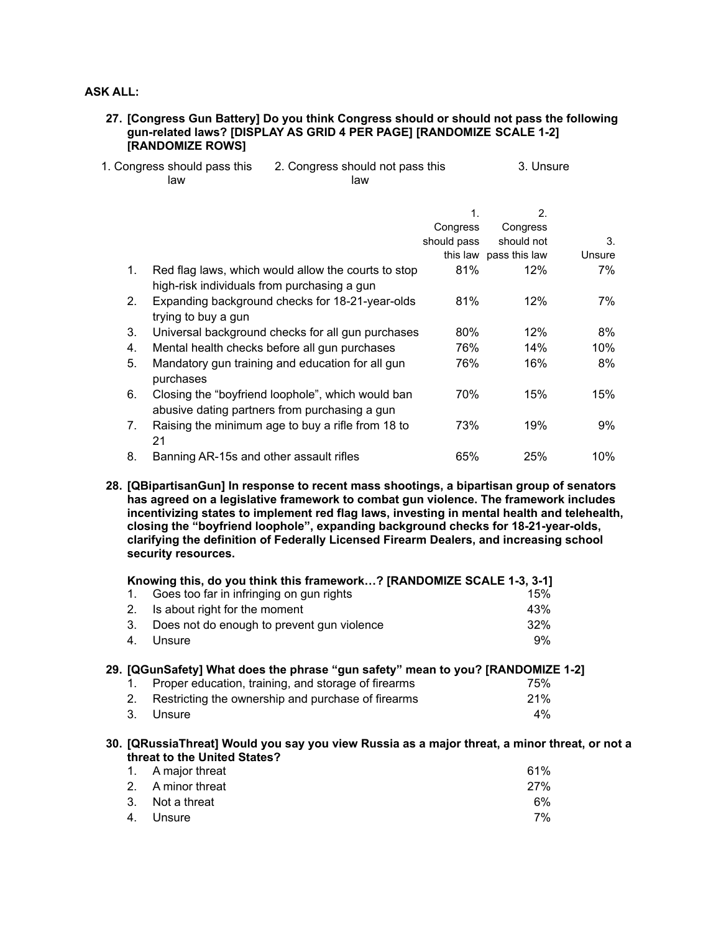## **ASK ALL:**

### **27. [Congress Gun Battery] Do you think Congress should or should not pass the following gun-related laws? [DISPLAY AS GRID 4 PER PAGE] [RANDOMIZE SCALE 1-2] [RANDOMIZE ROWS]**

| 1. Congress should pass this | 2. Congress should not pass this | 3. Unsure |
|------------------------------|----------------------------------|-----------|
| law                          | law                              |           |

|                |                                                                                                    | $\mathbf{1}$ . | 2 <sub>1</sub>         |        |
|----------------|----------------------------------------------------------------------------------------------------|----------------|------------------------|--------|
|                |                                                                                                    | Congress       | Congress               |        |
|                |                                                                                                    | should pass    | should not             | 3.     |
|                |                                                                                                    |                | this law pass this law | Unsure |
| $1_{-}$        | Red flag laws, which would allow the courts to stop<br>high-risk individuals from purchasing a gun | 81%            | 12%                    | 7%     |
| 2 <sub>1</sub> | Expanding background checks for 18-21-year-olds<br>trying to buy a gun                             | 81%            | 12%                    | 7%     |
| 3.             | Universal background checks for all gun purchases                                                  | $80\%$         | 12%                    | 8%     |
| 4.             | Mental health checks before all gun purchases                                                      | 76%            | 14%                    | 10%    |
| 5.             | Mandatory gun training and education for all gun<br>purchases                                      | 76%            | 16%                    | 8%     |
| 6.             | Closing the "boyfriend loophole", which would ban<br>abusive dating partners from purchasing a gun | 70%            | 15%                    | 15%    |
| 7 <sub>1</sub> | Raising the minimum age to buy a rifle from 18 to<br>21                                            | 73%            | 19%                    | 9%     |
| 8.             | Banning AR-15s and other assault rifles                                                            | 65%            | 25%                    | 10%    |

**28. [QBipartisanGun] In response to recent mass shootings, a bipartisan group of senators has agreed on a legislative framework to combat gun violence. The framework includes incentivizing states to implement red flag laws, investing in mental health and telehealth, closing the "boyfriend loophole", expanding background checks for 18-21-year-olds, clarifying the definition of Federally Licensed Firearm Dealers, and increasing school security resources.**

|             | Knowing this, do you think this framework? [RANDOMIZE SCALE 1-3, 3-1]                                                         |       |
|-------------|-------------------------------------------------------------------------------------------------------------------------------|-------|
| 1.          | Goes too far in infringing on gun rights                                                                                      | 15%   |
| $2_{\cdot}$ | Is about right for the moment                                                                                                 | 43%   |
| 3.          | Does not do enough to prevent gun violence                                                                                    | 32%   |
| 4.          | Unsure                                                                                                                        | 9%    |
|             | 29. [QGunSafety] What does the phrase "gun safety" mean to you? [RANDOMIZE 1-2]                                               |       |
| 1.          | Proper education, training, and storage of firearms                                                                           | 75%   |
| 2.          | Restricting the ownership and purchase of firearms                                                                            | 21%   |
| 3.          | Unsure                                                                                                                        | $4\%$ |
|             | 30. [QRussiaThreat] Would you say you view Russia as a major threat, a minor threat, or not a<br>threat to the United States? |       |
|             | A maior throat                                                                                                                | 610/  |

| 1. A major threat | 61% |
|-------------------|-----|
| 2. A minor threat | 27% |
| 3. Not a threat   | 6%  |
| 4. Unsure         | 7%  |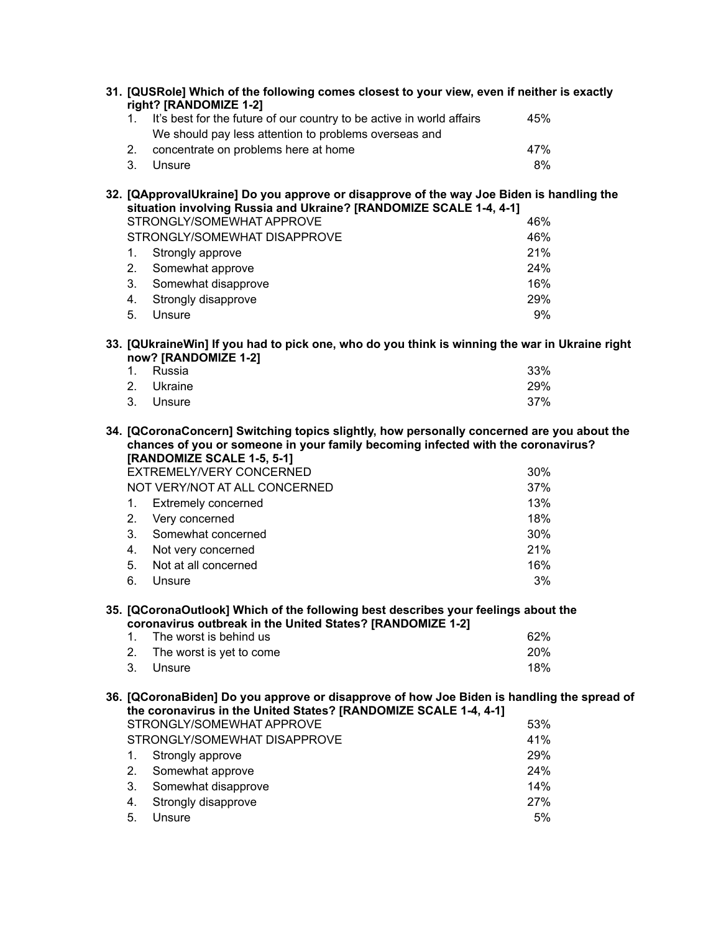|                                  | 31. [QUSRole] Which of the following comes closest to your view, even if neither is exactly<br>right? [RANDOMIZE 1-2]                                                                                                                                                                                     |                                                     |
|----------------------------------|-----------------------------------------------------------------------------------------------------------------------------------------------------------------------------------------------------------------------------------------------------------------------------------------------------------|-----------------------------------------------------|
| 1.                               | It's best for the future of our country to be active in world affairs                                                                                                                                                                                                                                     | 45%                                                 |
|                                  | We should pay less attention to problems overseas and                                                                                                                                                                                                                                                     |                                                     |
| 2.                               | concentrate on problems here at home                                                                                                                                                                                                                                                                      | 47%                                                 |
| 3.                               | Unsure                                                                                                                                                                                                                                                                                                    | 8%                                                  |
|                                  | 32. [QApprovalUkraine] Do you approve or disapprove of the way Joe Biden is handling the<br>situation involving Russia and Ukraine? [RANDOMIZE SCALE 1-4, 4-1]<br>STRONGLY/SOMEWHAT APPROVE                                                                                                               | 46%                                                 |
|                                  | STRONGLY/SOMEWHAT DISAPPROVE                                                                                                                                                                                                                                                                              | 46%                                                 |
| 1.                               |                                                                                                                                                                                                                                                                                                           | 21%                                                 |
| 2.                               | Strongly approve<br>Somewhat approve                                                                                                                                                                                                                                                                      | 24%                                                 |
| 3.                               | Somewhat disapprove                                                                                                                                                                                                                                                                                       | 16%                                                 |
| 4.                               | Strongly disapprove                                                                                                                                                                                                                                                                                       | 29%                                                 |
| 5.                               | Unsure                                                                                                                                                                                                                                                                                                    | 9%                                                  |
|                                  |                                                                                                                                                                                                                                                                                                           |                                                     |
|                                  | 33. [QUkraineWin] If you had to pick one, who do you think is winning the war in Ukraine right<br>now? [RANDOMIZE 1-2]                                                                                                                                                                                    |                                                     |
| $1_{\cdot}$                      | Russia                                                                                                                                                                                                                                                                                                    | 33%                                                 |
| 2.                               | Ukraine                                                                                                                                                                                                                                                                                                   | 29%                                                 |
| 3.                               | Unsure                                                                                                                                                                                                                                                                                                    | 37%                                                 |
| 1.<br>2.<br>3.<br>4.<br>5.<br>6. | chances of you or someone in your family becoming infected with the coronavirus?<br>[RANDOMIZE SCALE 1-5, 5-1]<br>EXTREMELY/VERY CONCERNED<br>NOT VERY/NOT AT ALL CONCERNED<br><b>Extremely concerned</b><br>Very concerned<br>Somewhat concerned<br>Not very concerned<br>Not at all concerned<br>Unsure | 30%<br>37%<br>13%<br>18%<br>30%<br>21%<br>16%<br>3% |
|                                  | 35. [QCoronaOutlook] Which of the following best describes your feelings about the<br>coronavirus outbreak in the United States? [RANDOMIZE 1-2]                                                                                                                                                          |                                                     |
| 1.                               | The worst is behind us                                                                                                                                                                                                                                                                                    | 62%                                                 |
| 2.                               | The worst is yet to come                                                                                                                                                                                                                                                                                  | 20%                                                 |
| 3.                               | Unsure                                                                                                                                                                                                                                                                                                    | 18%                                                 |
|                                  | 36. [QCoronaBiden] Do you approve or disapprove of how Joe Biden is handling the spread of<br>the coronavirus in the United States? [RANDOMIZE SCALE 1-4, 4-1]                                                                                                                                            |                                                     |
|                                  | STRONGLY/SOMEWHAT APPROVE                                                                                                                                                                                                                                                                                 | 53%                                                 |
|                                  | STRONGLY/SOMEWHAT DISAPPROVE                                                                                                                                                                                                                                                                              | 41%                                                 |
| 1.                               | Strongly approve                                                                                                                                                                                                                                                                                          | 29%                                                 |
| 2.                               | Somewhat approve                                                                                                                                                                                                                                                                                          | 24%                                                 |
| 3.                               | Somewhat disapprove                                                                                                                                                                                                                                                                                       | 14%                                                 |
| 4.                               | Strongly disapprove                                                                                                                                                                                                                                                                                       | 27%                                                 |
| 5.                               | Unsure                                                                                                                                                                                                                                                                                                    | 5%                                                  |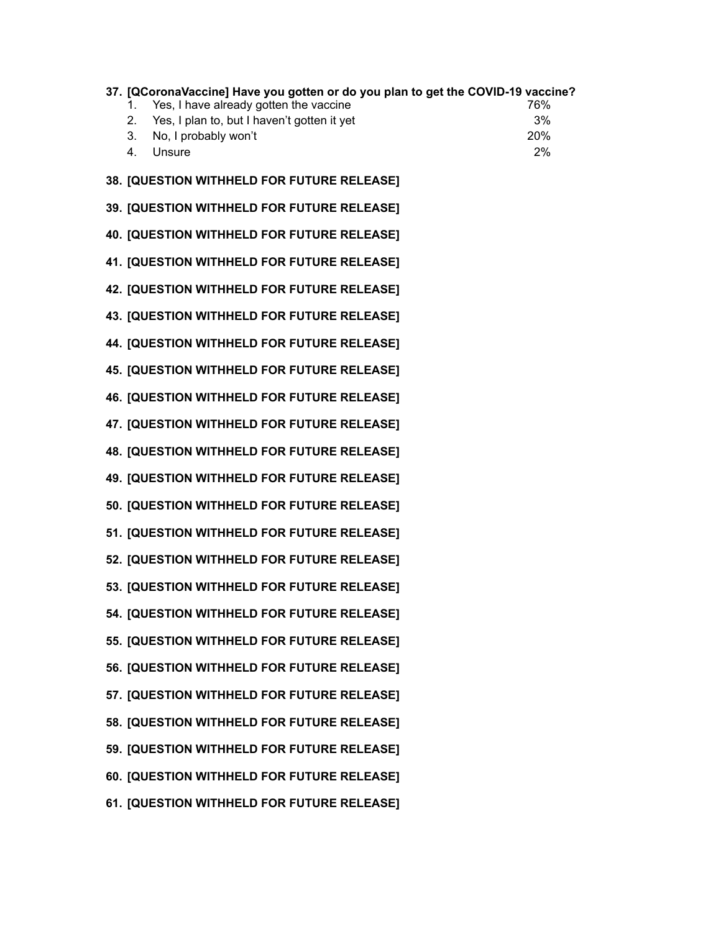|    | 37. [QCoronaVaccine] Have you gotten or do you plan to get the COVID-19 vaccine? |     |
|----|----------------------------------------------------------------------------------|-----|
|    | Yes, I have already gotten the vaccine                                           | 76% |
|    | 2. Yes, I plan to, but I haven't gotten it yet                                   | 3%  |
|    | 3. No, I probably won't                                                          | 20% |
| 4. | Unsure                                                                           | 2%  |
|    |                                                                                  |     |

**38. [QUESTION WITHHELD FOR FUTURE RELEASE]**

**39. [QUESTION WITHHELD FOR FUTURE RELEASE]**

**40. [QUESTION WITHHELD FOR FUTURE RELEASE]**

**41. [QUESTION WITHHELD FOR FUTURE RELEASE]**

**42. [QUESTION WITHHELD FOR FUTURE RELEASE]**

**43. [QUESTION WITHHELD FOR FUTURE RELEASE]**

**44. [QUESTION WITHHELD FOR FUTURE RELEASE]**

**45. [QUESTION WITHHELD FOR FUTURE RELEASE]**

**46. [QUESTION WITHHELD FOR FUTURE RELEASE]**

**47. [QUESTION WITHHELD FOR FUTURE RELEASE]**

**48. [QUESTION WITHHELD FOR FUTURE RELEASE]**

**49. [QUESTION WITHHELD FOR FUTURE RELEASE]**

**50. [QUESTION WITHHELD FOR FUTURE RELEASE]**

**51. [QUESTION WITHHELD FOR FUTURE RELEASE]**

**52. [QUESTION WITHHELD FOR FUTURE RELEASE]**

**53. [QUESTION WITHHELD FOR FUTURE RELEASE]**

**54. [QUESTION WITHHELD FOR FUTURE RELEASE]**

**55. [QUESTION WITHHELD FOR FUTURE RELEASE]**

**56. [QUESTION WITHHELD FOR FUTURE RELEASE]**

**57. [QUESTION WITHHELD FOR FUTURE RELEASE]**

**58. [QUESTION WITHHELD FOR FUTURE RELEASE]**

**59. [QUESTION WITHHELD FOR FUTURE RELEASE]**

**60. [QUESTION WITHHELD FOR FUTURE RELEASE]**

**61. [QUESTION WITHHELD FOR FUTURE RELEASE]**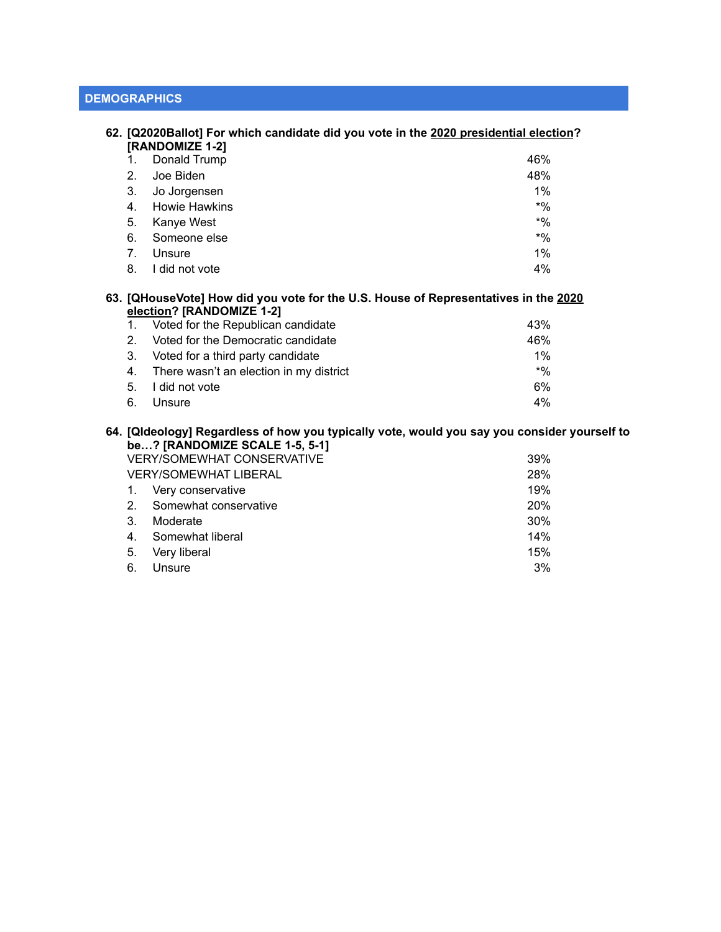|                                |                                                                             | 62. [Q2020Ballot] For which candidate did you vote in the 2020 presidential election? |
|--------------------------------|-----------------------------------------------------------------------------|---------------------------------------------------------------------------------------|
|                                | [RANDOMIZE 1-2]                                                             |                                                                                       |
|                                | Donald Trump                                                                | 46%                                                                                   |
| 2.                             | Joe Biden                                                                   | 48%                                                                                   |
| 3.                             | Jo Jorgensen                                                                | 1%                                                                                    |
| 4.                             | Howie Hawkins                                                               | $*$ %                                                                                 |
| 5.                             | Kanye West                                                                  | $*9/0$                                                                                |
| 6.                             | Someone else                                                                | $*9/0$                                                                                |
| $7_{\scriptscriptstyle{\sim}}$ | Unsure                                                                      | 1%                                                                                    |
| 8.                             | I did not vote                                                              | 4%                                                                                    |
|                                |                                                                             | 63. [QHouseVote] How did you vote for the U.S. House of Representatives in the 2020   |
|                                | election? [RANDOMIZE 1-2]                                                   |                                                                                       |
| 1.                             | Voted for the Republican candidate                                          | 43%                                                                                   |
| $2_{-}$                        | Voted for the Democratic candidate                                          | 46%                                                                                   |
| 3.                             | Voted for a third party candidate                                           | $1\%$                                                                                 |
| $\overline{ }$                 | The season are seen to see that the state of the control of the fact of the | $+0/$                                                                                 |

4. There wasn't an election in my district  $*$ % 5. I did not vote 6%

6. Unsure 4%

**64. [QIdeology] Regardless of how you typically vote, would you say you consider yourself to be…? [RANDOMIZE SCALE 1-5, 5-1]**

| <b>VERY/SOMEWHAT CONSERVATIVE</b> |                          | 39%        |
|-----------------------------------|--------------------------|------------|
| <b>VERY/SOMEWHAT LIBERAL</b>      |                          | 28%        |
|                                   | 1. Very conservative     | 19%        |
|                                   | 2. Somewhat conservative | <b>20%</b> |
| 3 <sub>1</sub>                    | Moderate                 | 30%        |
| 4 <sub>1</sub>                    | Somewhat liberal         | 14%        |
| 5.                                | Very liberal             | 15%        |
| 6.                                | Unsure                   | 3%         |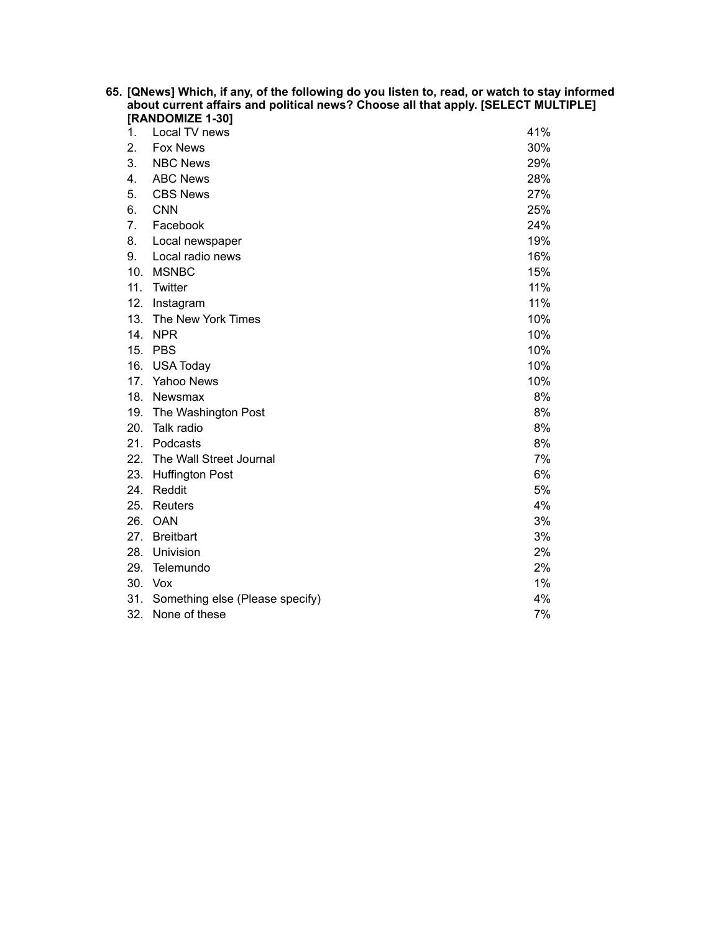| 65. [QNews] Which, if any, of the following do you listen to, read, or watch to stay informed<br>about current affairs and political news? Choose all that apply. [SELECT MULTIPLE] |                                     |     |  |
|-------------------------------------------------------------------------------------------------------------------------------------------------------------------------------------|-------------------------------------|-----|--|
|                                                                                                                                                                                     | [RANDOMIZE 1-30]                    |     |  |
| $\mathbf{1}$ .                                                                                                                                                                      | Local TV news                       | 41% |  |
| 2.                                                                                                                                                                                  | <b>Fox News</b>                     | 30% |  |
| 3.                                                                                                                                                                                  | <b>NBC News</b>                     | 29% |  |
| 4.                                                                                                                                                                                  | <b>ABC News</b>                     | 28% |  |
| 5.                                                                                                                                                                                  | <b>CBS News</b>                     | 27% |  |
| 6.                                                                                                                                                                                  | <b>CNN</b>                          | 25% |  |
| 7.                                                                                                                                                                                  | Facebook                            | 24% |  |
| 8.                                                                                                                                                                                  | Local newspaper                     | 19% |  |
| 9.                                                                                                                                                                                  | Local radio news                    | 16% |  |
|                                                                                                                                                                                     | 10. MSNBC                           | 15% |  |
|                                                                                                                                                                                     | 11. Twitter                         | 11% |  |
|                                                                                                                                                                                     | 12. Instagram                       | 11% |  |
|                                                                                                                                                                                     | 13. The New York Times              | 10% |  |
|                                                                                                                                                                                     | 14. NPR                             | 10% |  |
|                                                                                                                                                                                     | 15. PBS                             | 10% |  |
|                                                                                                                                                                                     | 16. USA Today                       | 10% |  |
|                                                                                                                                                                                     | 17. Yahoo News                      | 10% |  |
|                                                                                                                                                                                     | 18. Newsmax                         | 8%  |  |
|                                                                                                                                                                                     | 19. The Washington Post             | 8%  |  |
|                                                                                                                                                                                     | 20. Talk radio                      | 8%  |  |
|                                                                                                                                                                                     | 21. Podcasts                        | 8%  |  |
|                                                                                                                                                                                     | 22. The Wall Street Journal         | 7%  |  |
|                                                                                                                                                                                     | 23. Huffington Post                 | 6%  |  |
|                                                                                                                                                                                     | 24. Reddit                          | 5%  |  |
|                                                                                                                                                                                     | 25. Reuters                         | 4%  |  |
|                                                                                                                                                                                     | 26. OAN                             | 3%  |  |
|                                                                                                                                                                                     | 27. Breitbart                       | 3%  |  |
|                                                                                                                                                                                     | 28. Univision                       | 2%  |  |
|                                                                                                                                                                                     | 29. Telemundo                       | 2%  |  |
|                                                                                                                                                                                     | 30. Vox                             | 1%  |  |
|                                                                                                                                                                                     | 31. Something else (Please specify) | 4%  |  |
|                                                                                                                                                                                     | 32. None of these                   | 7%  |  |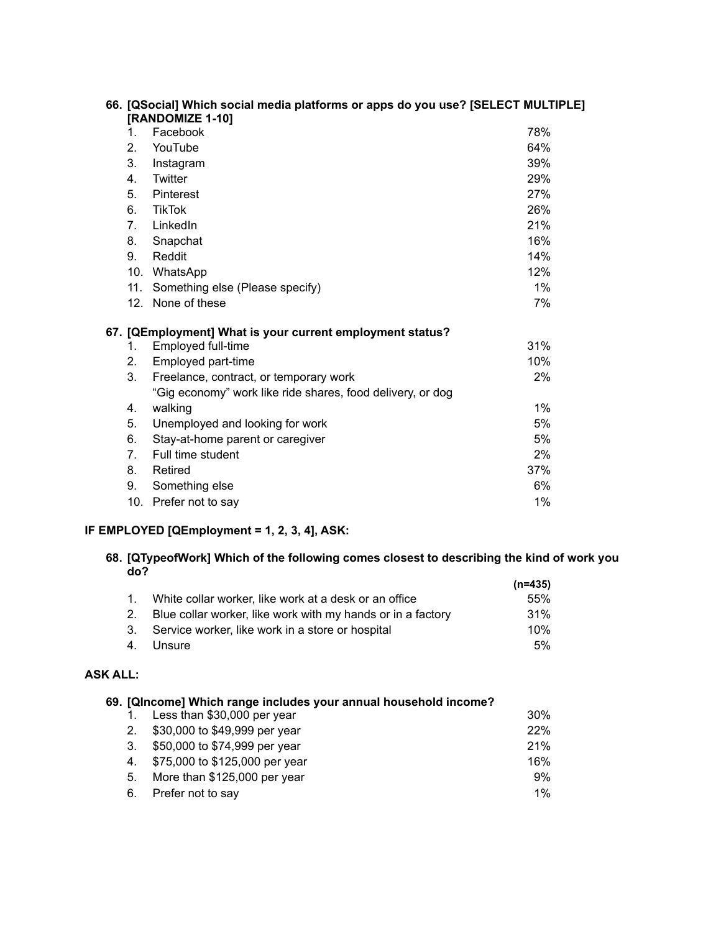|                 | 66. [QSocial] Which social media platforms or apps do you use? [SELECT MULTIPLE]<br>[RANDOMIZE 1-10] |     |
|-----------------|------------------------------------------------------------------------------------------------------|-----|
| 1.              | Facebook                                                                                             | 78% |
| 2.              | YouTube                                                                                              | 64% |
| 3.              | Instagram                                                                                            | 39% |
| 4.              | Twitter                                                                                              | 29% |
| 5.              | Pinterest                                                                                            | 27% |
| 6.              | <b>TikTok</b>                                                                                        | 26% |
| 7 <sub>1</sub>  | LinkedIn                                                                                             | 21% |
| 8.              | Snapchat                                                                                             | 16% |
| 9.              | Reddit                                                                                               | 14% |
|                 | 10. WhatsApp                                                                                         | 12% |
| 11.             | Something else (Please specify)                                                                      | 1%  |
| 12 <sup>2</sup> | None of these                                                                                        | 7%  |
|                 | 67. [QEmployment] What is your current employment status?                                            |     |
| 1.              | Employed full-time                                                                                   | 31% |
| 2.              | Employed part-time                                                                                   | 10% |
| 3.              | Freelance, contract, or temporary work                                                               | 2%  |
|                 | "Gig economy" work like ride shares, food delivery, or dog                                           |     |
| 4.              | walking                                                                                              | 1%  |
| 5.              | Unemployed and looking for work                                                                      | 5%  |
| 6.              | Stay-at-home parent or caregiver                                                                     | 5%  |
| 7 <sub>1</sub>  | Full time student                                                                                    | 2%  |
| 8.              | Retired                                                                                              | 37% |
| 9.              | Something else                                                                                       | 6%  |
|                 | 10. Prefer not to say                                                                                | 1%  |

# **IF EMPLOYED [QEmployment = 1, 2, 3, 4], ASK:**

#### **68. [QTypeofWork] Which of the following comes closest to describing the kind of work you do? (n=435)**

|                                                                | (N=435) |
|----------------------------------------------------------------|---------|
| 1. White collar worker, like work at a desk or an office       | 55%     |
| 2. Blue collar worker, like work with my hands or in a factory | 31%     |
| 3. Service worker, like work in a store or hospital            | 10%     |
| 4. Unsure                                                      | 5%      |

# **ASK ALL:**

|                | 69. [QIncome] Which range includes your annual household income? |       |
|----------------|------------------------------------------------------------------|-------|
|                | Less than \$30,000 per year                                      | 30%   |
| 2 <sub>1</sub> | \$30,000 to \$49,999 per year                                    | 22%   |
| 3.             | \$50,000 to \$74,999 per year                                    | 21%   |
| 4.             | \$75,000 to \$125,000 per year                                   | 16%   |
| 5.             | More than \$125,000 per year                                     | 9%    |
| 6.             | Prefer not to say                                                | $1\%$ |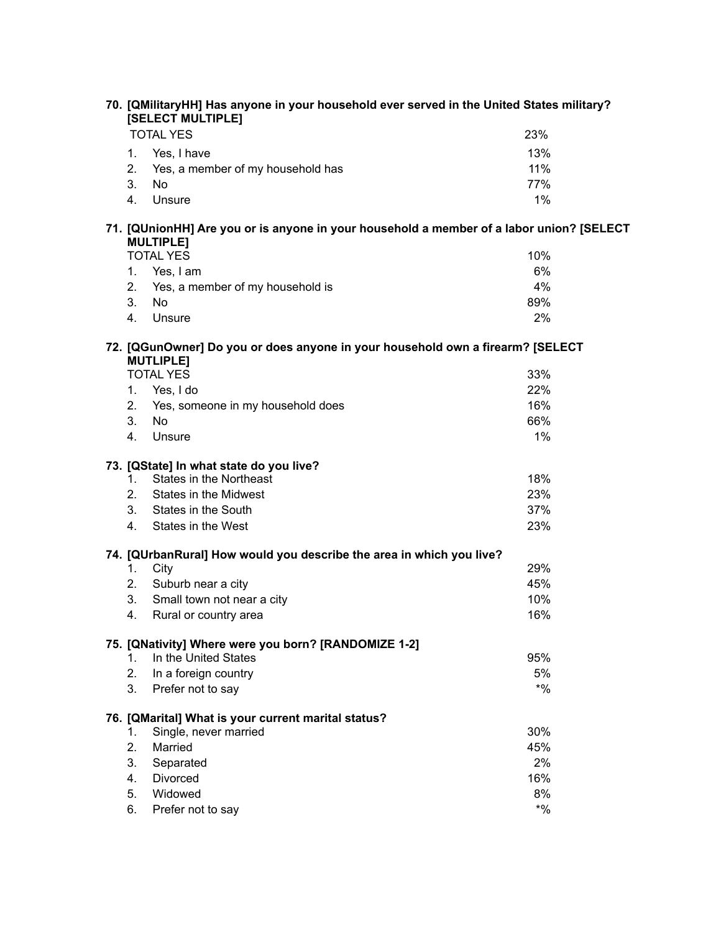| 70. [QMilitaryHH] Has anyone in your household ever served in the United States military?<br>[SELECT MULTIPLE] |                                                                                                              |        |  |  |
|----------------------------------------------------------------------------------------------------------------|--------------------------------------------------------------------------------------------------------------|--------|--|--|
|                                                                                                                | <b>TOTAL YES</b>                                                                                             | 23%    |  |  |
|                                                                                                                | 1.<br>Yes, I have                                                                                            | 13%    |  |  |
|                                                                                                                | 2.<br>Yes, a member of my household has                                                                      | 11%    |  |  |
|                                                                                                                | 3.<br>No                                                                                                     | 77%    |  |  |
|                                                                                                                | 4.<br>Unsure                                                                                                 | 1%     |  |  |
|                                                                                                                | 71. [QUnionHH] Are you or is anyone in your household a member of a labor union? [SELECT<br><b>MULTIPLE]</b> |        |  |  |
|                                                                                                                | <b>TOTAL YES</b>                                                                                             | 10%    |  |  |
|                                                                                                                | 1. Yes, I am                                                                                                 | 6%     |  |  |
|                                                                                                                | 2.<br>Yes, a member of my household is                                                                       | 4%     |  |  |
|                                                                                                                | 3.<br><b>No</b>                                                                                              | 89%    |  |  |
|                                                                                                                | 4.<br>Unsure                                                                                                 | 2%     |  |  |
|                                                                                                                | 72. [QGunOwner] Do you or does anyone in your household own a firearm? [SELECT<br><b>MUTLIPLE]</b>           |        |  |  |
|                                                                                                                | <b>TOTAL YES</b>                                                                                             | 33%    |  |  |
|                                                                                                                | 1.<br>Yes, I do                                                                                              | 22%    |  |  |
|                                                                                                                | 2.<br>Yes, someone in my household does                                                                      | 16%    |  |  |
|                                                                                                                | 3.<br>No                                                                                                     | 66%    |  |  |
|                                                                                                                | 4.<br>Unsure                                                                                                 | 1%     |  |  |
|                                                                                                                |                                                                                                              |        |  |  |
|                                                                                                                | 73. [QState] In what state do you live?<br><b>States in the Northeast</b>                                    | 18%    |  |  |
|                                                                                                                | 1.                                                                                                           | 23%    |  |  |
|                                                                                                                | 2.<br>States in the Midwest<br>3.<br>States in the South                                                     | 37%    |  |  |
|                                                                                                                | States in the West<br>4.                                                                                     | 23%    |  |  |
|                                                                                                                |                                                                                                              |        |  |  |
|                                                                                                                | 74. [QUrbanRural] How would you describe the area in which you live?                                         |        |  |  |
|                                                                                                                | 1.<br>City                                                                                                   | 29%    |  |  |
|                                                                                                                | Suburb near a city<br>2.                                                                                     | 45%    |  |  |
|                                                                                                                | 3.<br>Small town not near a city                                                                             | 10%    |  |  |
|                                                                                                                | 4.<br>Rural or country area                                                                                  | 16%    |  |  |
|                                                                                                                | 75. [QNativity] Where were you born? [RANDOMIZE 1-2]                                                         |        |  |  |
|                                                                                                                | In the United States<br>1.                                                                                   | 95%    |  |  |
|                                                                                                                | 2.<br>In a foreign country                                                                                   | 5%     |  |  |
|                                                                                                                | 3.<br>Prefer not to say                                                                                      | $*9/0$ |  |  |
|                                                                                                                |                                                                                                              |        |  |  |
|                                                                                                                | 76. [QMarital] What is your current marital status?                                                          | 30%    |  |  |
|                                                                                                                | Single, never married<br>1.<br>2.<br>Married                                                                 | 45%    |  |  |
|                                                                                                                | 3.<br>Separated                                                                                              | 2%     |  |  |
|                                                                                                                | <b>Divorced</b><br>4.                                                                                        | 16%    |  |  |
|                                                                                                                | Widowed<br>5.                                                                                                | 8%     |  |  |
|                                                                                                                | 6.<br>Prefer not to say                                                                                      | $*9/0$ |  |  |
|                                                                                                                |                                                                                                              |        |  |  |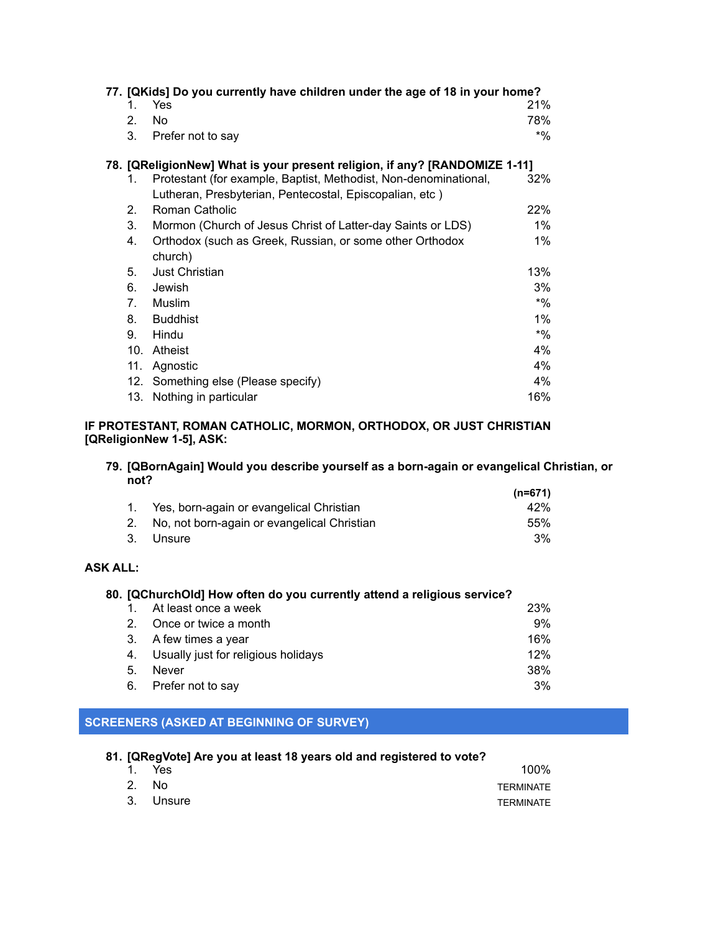| 77. [QKids] Do you currently have children under the age of 18 in your home? |                                |                                                                  |        |
|------------------------------------------------------------------------------|--------------------------------|------------------------------------------------------------------|--------|
|                                                                              | 1.                             | Yes                                                              | 21%    |
|                                                                              | 2.                             | No.                                                              | 78%    |
|                                                                              | 3.                             | Prefer not to say                                                | $*$ %  |
| 78. [QReligionNew] What is your present religion, if any? [RANDOMIZE 1-11]   |                                |                                                                  |        |
|                                                                              | 1.                             | Protestant (for example, Baptist, Methodist, Non-denominational, | 32%    |
|                                                                              |                                | Lutheran, Presbyterian, Pentecostal, Episcopalian, etc)          |        |
|                                                                              | $2_{\cdot}$                    | Roman Catholic                                                   | 22%    |
|                                                                              | 3.                             | Mormon (Church of Jesus Christ of Latter-day Saints or LDS)      | $1\%$  |
|                                                                              | 4.                             | Orthodox (such as Greek, Russian, or some other Orthodox         | $1\%$  |
|                                                                              |                                | church)                                                          |        |
|                                                                              | 5.                             | Just Christian                                                   | 13%    |
|                                                                              | 6.                             | Jewish                                                           | 3%     |
|                                                                              | $7_{\scriptscriptstyle{\sim}}$ | Muslim                                                           | $*$ %  |
|                                                                              | 8.                             | <b>Buddhist</b>                                                  | $1\%$  |
|                                                                              | 9.                             | Hindu                                                            | $*9/0$ |
|                                                                              | 10 <sub>1</sub>                | Atheist                                                          | $4\%$  |
|                                                                              | 11.                            | Agnostic                                                         | 4%     |
|                                                                              | 12.                            | Something else (Please specify)                                  | 4%     |
|                                                                              | 13.                            | Nothing in particular                                            | 16%    |

## **IF PROTESTANT, ROMAN CATHOLIC, MORMON, ORTHODOX, OR JUST CHRISTIAN [QReligionNew 1-5], ASK:**

#### **79. [QBornAgain] Would you describe yourself as a born-again or evangelical Christian, or not? (n=671)**

|                                                | (n=6/1) |
|------------------------------------------------|---------|
| 1. Yes, born-again or evangelical Christian    | 42%     |
| 2. No, not born-again or evangelical Christian | .55%    |
| 3. Unsure                                      | 3%      |

# **ASK ALL:**

| 80. [QChurchOld] How often do you currently attend a religious service? |                                     |     |
|-------------------------------------------------------------------------|-------------------------------------|-----|
|                                                                         | At least once a week                | 23% |
| 2                                                                       | Once or twice a month               | 9%  |
| 3.                                                                      | A few times a year                  | 16% |
| 4.                                                                      | Usually just for religious holidays | 12% |
| 5.                                                                      | <b>Never</b>                        | 38% |
| 6.                                                                      | Prefer not to say                   | 3%  |

# **SCREENERS (ASKED AT BEGINNING OF SURVEY)**

| 81. [QRegVote] Are you at least 18 years old and registered to vote? |           |           |  |
|----------------------------------------------------------------------|-----------|-----------|--|
|                                                                      | 1. Yes    | 100%      |  |
|                                                                      | 2. No.    | TERMINATE |  |
|                                                                      | 3. Unsure | TERMINATE |  |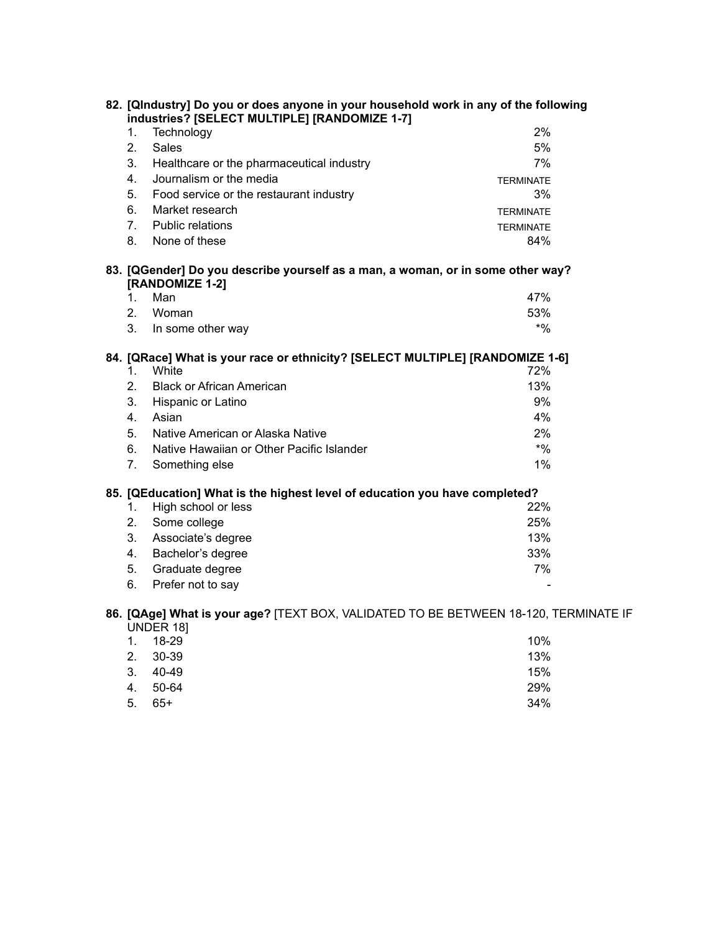| 82. [QIndustry] Do you or does anyone in your household work in any of the following<br>industries? [SELECT MULTIPLE] [RANDOMIZE 1-7] |                                                                                                                                                                                                                                                                                                              |                                              |  |  |
|---------------------------------------------------------------------------------------------------------------------------------------|--------------------------------------------------------------------------------------------------------------------------------------------------------------------------------------------------------------------------------------------------------------------------------------------------------------|----------------------------------------------|--|--|
|                                                                                                                                       | Technology<br>1.                                                                                                                                                                                                                                                                                             | 2%                                           |  |  |
| 2.                                                                                                                                    | <b>Sales</b>                                                                                                                                                                                                                                                                                                 | 5%                                           |  |  |
|                                                                                                                                       | 3.<br>Healthcare or the pharmaceutical industry                                                                                                                                                                                                                                                              | 7%                                           |  |  |
| 4.                                                                                                                                    | Journalism or the media                                                                                                                                                                                                                                                                                      | <b>TERMINATE</b>                             |  |  |
|                                                                                                                                       | 5.<br>Food service or the restaurant industry                                                                                                                                                                                                                                                                | 3%                                           |  |  |
| 6.                                                                                                                                    | Market research                                                                                                                                                                                                                                                                                              | <b>TERMINATE</b>                             |  |  |
|                                                                                                                                       | 7.<br><b>Public relations</b>                                                                                                                                                                                                                                                                                | <b>TERMINATE</b>                             |  |  |
|                                                                                                                                       | 8.<br>None of these                                                                                                                                                                                                                                                                                          | 84%                                          |  |  |
| 83. [QGender] Do you describe yourself as a man, a woman, or in some other way?<br>[RANDOMIZE 1-2]<br>Man<br>47%<br>$1_{-}$           |                                                                                                                                                                                                                                                                                                              |                                              |  |  |
|                                                                                                                                       | 2.<br>Woman                                                                                                                                                                                                                                                                                                  | 53%                                          |  |  |
|                                                                                                                                       | 3.<br>In some other way                                                                                                                                                                                                                                                                                      | $*9/0$                                       |  |  |
| 6.                                                                                                                                    | 84. [QRace] What is your race or ethnicity? [SELECT MULTIPLE] [RANDOMIZE 1-6]<br>White<br>1.<br>2.<br><b>Black or African American</b><br>3.<br>Hispanic or Latino<br>Asian<br>4.<br>5.<br>Native American or Alaska Native<br>Native Hawaiian or Other Pacific Islander<br>7 <sub>1</sub><br>Something else | 72%<br>13%<br>9%<br>4%<br>2%<br>$*9/0$<br>1% |  |  |
|                                                                                                                                       | 85. [QEducation] What is the highest level of education you have completed?                                                                                                                                                                                                                                  |                                              |  |  |
|                                                                                                                                       | High school or less<br>1.                                                                                                                                                                                                                                                                                    | 22%                                          |  |  |
|                                                                                                                                       | Some college<br>2.                                                                                                                                                                                                                                                                                           | 25%                                          |  |  |
|                                                                                                                                       | 3.<br>Associate's degree                                                                                                                                                                                                                                                                                     | 13%                                          |  |  |
|                                                                                                                                       | 4.<br>Bachelor's degree                                                                                                                                                                                                                                                                                      | 33%                                          |  |  |
|                                                                                                                                       | Graduate degree<br>5.                                                                                                                                                                                                                                                                                        | 7%                                           |  |  |
| 6.                                                                                                                                    | Prefer not to say                                                                                                                                                                                                                                                                                            |                                              |  |  |
|                                                                                                                                       | 86. [QAge] What is your age? [TEXT BOX, VALIDATED TO BE BETWEEN 18-120, TERMINATE IF<br>UNDER 18]                                                                                                                                                                                                            |                                              |  |  |
| 1.                                                                                                                                    | 18-29                                                                                                                                                                                                                                                                                                        | 10%                                          |  |  |
| 2.                                                                                                                                    | 30-39                                                                                                                                                                                                                                                                                                        | 13%                                          |  |  |

4. 50-64 29% 5. 65+ 34%

 $3. 40-49$  15%